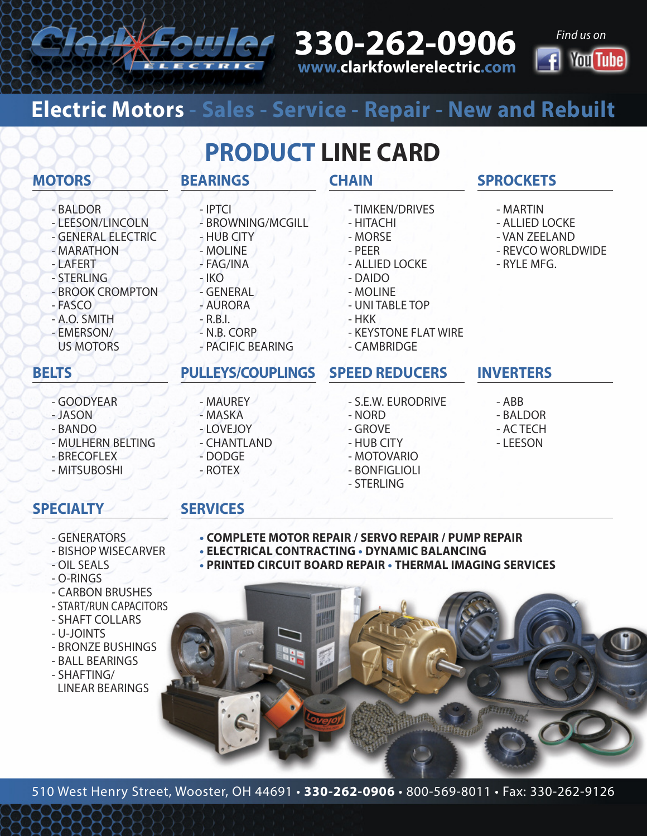**330-262-0906 www.clarkfowlerelectric.com**



## **Electric Motors - Sales - Service - Repair - New and Rebuilt**

## **PRODUCT LINE CARD**

### **MOTORS**

- BALDOR
- LEESON/LINCOLN
- GENERAL ELECTRIC
- MARATHON
- LAFERT
- STERLING
- BROOK CROMPTON
- FASCO
- A.O. SMITH - EMERSON/
- US MOTORS

### **BELTS**

- GOODYEAR
- JASON
- BANDO
- MULHERN BELTING
- BRECOFLEX
- MITSUBOSHI

### **SPECIALTY**

- GENERATORS
- BISHOP WISECARVER
- OIL SEALS
- O-RINGS
- CARBON BRUSHES
- START/RUN CAPACITORS
- SHAFT COLLARS
- U-JOINTS
- BRONZE BUSHINGS
- BALL BEARINGS
- SHAFTING/ LINEAR BEARINGS

- MAUREY - MASKA

**BEARINGS**

- IPTCI

- HUB CITY - MOLINE - FAG/INA - IKO - GENERAL - AURORA - R.B.I. - N.B. CORP

- BROWNING/MCGILL

- 
- -
	-
- **CHAIN**
	- TIMKEN/DRIVES
	- HITACHI
	- MORSE
	- PEER
	- ALLIED LOCKE
	- DAIDO
	- MOLINE
	- UNI TABLE TOP
	- HKK
	- KEYSTONE FLAT WIRE
	- CAMBRIDGE

### **SPEED REDUCERS INVERTERS PULLEYS/COUPLINGS**

- S.E.W. EURODRIVE
- NORD
- GROVE
- HUB CITY
- MOTOVARIO
- 
- 

**SPROCKETS**

- MARTIN - ALLIED LOCKE - VAN ZEELAND - REVCO WORLDWIDE

- RYLE MFG.

- ABB - BALDOR
- AC TECH
- LEESON

- **SERVICES**
	- **• COMPLETE MOTOR REPAIR / SERVO REPAIR / PUMP REPAIR**
	- **• ELECTRICAL CONTRACTING • DYNAMIC BALANCING**
	- **• PRINTED CIRCUIT BOARD REPAIR • THERMAL IMAGING SERVICES**



- 
- LOVEJOY

- PACIFIC BEARING

- CHANTLAND
	-
- DODGE - ROTEX
- - - -
		-
		-
		- BONFIGLIOLI
		- STERLING
- 
- 
-